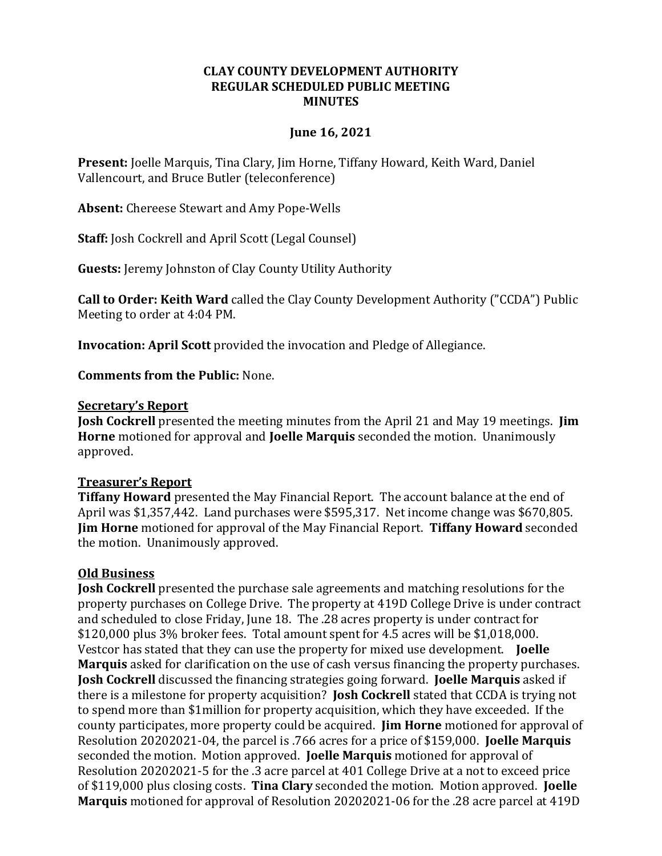#### **CLAY COUNTY DEVELOPMENT AUTHORITY REGULAR SCHEDULED PUBLIC MEETING MINUTES**

### **June 16, 2021**

**Present:** Joelle Marquis, Tina Clary, Jim Horne, Tiffany Howard, Keith Ward, Daniel Vallencourt, and Bruce Butler (teleconference)

**Absent:** Chereese Stewart and Amy Pope-Wells

**Staff:** Josh Cockrell and April Scott (Legal Counsel)

**Guests:** Jeremy Johnston of Clay County Utility Authority

**Call to Order: Keith Ward** called the Clay County Development Authority ("CCDA") Public Meeting to order at 4:04 PM.

**Invocation: April Scott** provided the invocation and Pledge of Allegiance.

**Comments from the Public:** None.

#### **Secretary's Report**

**Josh Cockrell** presented the meeting minutes from the April 21 and May 19 meetings. **Jim Horne** motioned for approval and **Joelle Marquis** seconded the motion. Unanimously approved.

### **Treasurer's Report**

**Tiffany Howard** presented the May Financial Report. The account balance at the end of April was \$1,357,442. Land purchases were \$595,317. Net income change was \$670,805. **Jim Horne** motioned for approval of the May Financial Report. **Tiffany Howard** seconded the motion. Unanimously approved.

### **Old Business**

**Josh Cockrell** presented the purchase sale agreements and matching resolutions for the property purchases on College Drive. The property at 419D College Drive is under contract and scheduled to close Friday, June 18. The .28 acres property is under contract for \$120,000 plus 3% broker fees. Total amount spent for 4.5 acres will be \$1,018,000. Vestcor has stated that they can use the property for mixed use development. **Joelle Marquis** asked for clarification on the use of cash versus financing the property purchases. **Josh Cockrell** discussed the financing strategies going forward. **Joelle Marquis** asked if there is a milestone for property acquisition? **Josh Cockrell** stated that CCDA is trying not to spend more than \$1million for property acquisition, which they have exceeded. If the county participates, more property could be acquired. **Jim Horne** motioned for approval of Resolution 20202021-04, the parcel is .766 acres for a price of \$159,000. **Joelle Marquis** seconded the motion. Motion approved. **Joelle Marquis** motioned for approval of Resolution 20202021-5 for the .3 acre parcel at 401 College Drive at a not to exceed price of \$119,000 plus closing costs. **Tina Clary** seconded the motion. Motion approved. **Joelle Marquis** motioned for approval of Resolution 20202021-06 for the .28 acre parcel at 419D